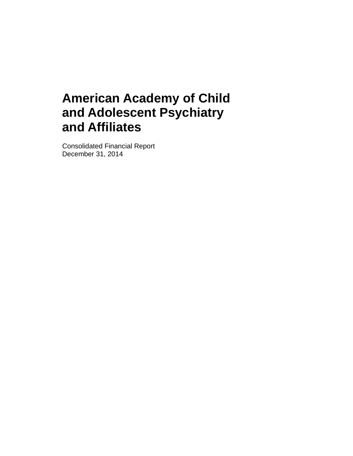Consolidated Financial Report December 31, 2014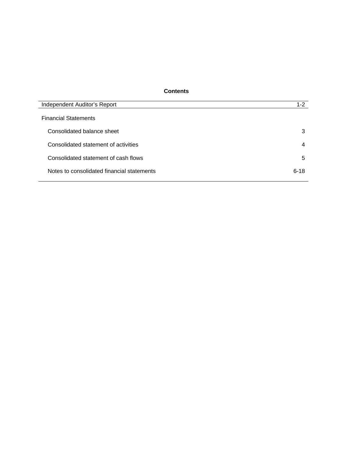# **Contents**

| Independent Auditor's Report               | $1 - 2$  |
|--------------------------------------------|----------|
| <b>Financial Statements</b>                |          |
| Consolidated balance sheet                 | 3        |
| Consolidated statement of activities       | 4        |
| Consolidated statement of cash flows       | 5        |
| Notes to consolidated financial statements | $6 - 18$ |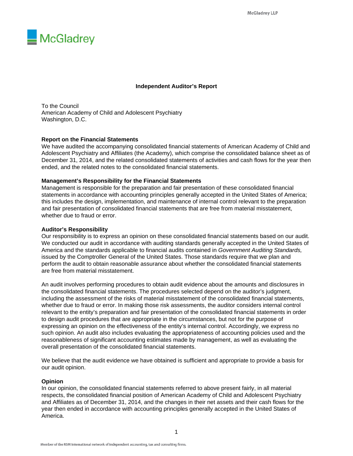

# **Independent Auditor's Report**

To the Council American Academy of Child and Adolescent Psychiatry Washington, D.C.

# **Report on the Financial Statements**

We have audited the accompanying consolidated financial statements of American Academy of Child and Adolescent Psychiatry and Affiliates (the Academy), which comprise the consolidated balance sheet as of December 31, 2014, and the related consolidated statements of activities and cash flows for the year then ended, and the related notes to the consolidated financial statements.

#### **Management's Responsibility for the Financial Statements**

Management is responsible for the preparation and fair presentation of these consolidated financial statements in accordance with accounting principles generally accepted in the United States of America; this includes the design, implementation, and maintenance of internal control relevant to the preparation and fair presentation of consolidated financial statements that are free from material misstatement, whether due to fraud or error.

#### **Auditor's Responsibility**

Our responsibility is to express an opinion on these consolidated financial statements based on our audit. We conducted our audit in accordance with auditing standards generally accepted in the United States of America and the standards applicable to financial audits contained in *Government Auditing Standards,* issued by the Comptroller General of the United States. Those standards require that we plan and perform the audit to obtain reasonable assurance about whether the consolidated financial statements are free from material misstatement.

An audit involves performing procedures to obtain audit evidence about the amounts and disclosures in the consolidated financial statements. The procedures selected depend on the auditor's judgment, including the assessment of the risks of material misstatement of the consolidated financial statements, whether due to fraud or error. In making those risk assessments, the auditor considers internal control relevant to the entity's preparation and fair presentation of the consolidated financial statements in order to design audit procedures that are appropriate in the circumstances, but not for the purpose of expressing an opinion on the effectiveness of the entity's internal control. Accordingly, we express no such opinion. An audit also includes evaluating the appropriateness of accounting policies used and the reasonableness of significant accounting estimates made by management, as well as evaluating the overall presentation of the consolidated financial statements.

We believe that the audit evidence we have obtained is sufficient and appropriate to provide a basis for our audit opinion.

#### **Opinion**

In our opinion, the consolidated financial statements referred to above present fairly, in all material respects, the consolidated financial position of American Academy of Child and Adolescent Psychiatry and Affiliates as of December 31, 2014, and the changes in their net assets and their cash flows for the year then ended in accordance with accounting principles generally accepted in the United States of America.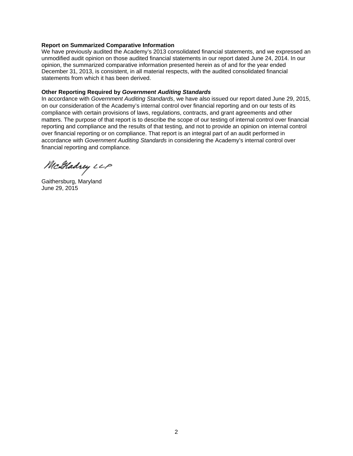# **Report on Summarized Comparative Information**

We have previously audited the Academy's 2013 consolidated financial statements, and we expressed an unmodified audit opinion on those audited financial statements in our report dated June 24, 2014. In our opinion, the summarized comparative information presented herein as of and for the year ended December 31, 2013, is consistent, in all material respects, with the audited consolidated financial statements from which it has been derived.

# **Other Reporting Required by** *Government Auditing Standards*

In accordance with *Government Auditing Standards*, we have also issued our report dated June 29, 2015, on our consideration of the Academy's internal control over financial reporting and on our tests of its compliance with certain provisions of laws, regulations, contracts, and grant agreements and other matters. The purpose of that report is to describe the scope of our testing of internal control over financial reporting and compliance and the results of that testing, and not to provide an opinion on internal control over financial reporting or on compliance. That report is an integral part of an audit performed in accordance with *Government Auditing Standards* in considering the Academy's internal control over financial reporting and compliance.

McMadrey LLP

Gaithersburg, Maryland June 29, 2015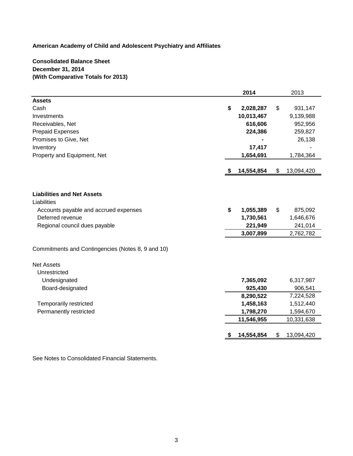# **Consolidated Balance Sheet December 31, 2014 (With Comparative Totals for 2013)**

|                                                   | 2014             | 2013             |
|---------------------------------------------------|------------------|------------------|
| <b>Assets</b>                                     |                  |                  |
| Cash                                              | \$<br>2,028,287  | \$<br>931,147    |
| Investments                                       | 10,013,467       | 9,139,988        |
| Receivables, Net                                  | 616,606          | 952,956          |
| <b>Prepaid Expenses</b>                           | 224,386          | 259,827          |
| Promises to Give, Net                             |                  | 26,138           |
| Inventory                                         | 17,417           |                  |
| Property and Equipment, Net                       | 1,654,691        | 1,784,364        |
|                                                   | \$<br>14,554,854 | \$<br>13,094,420 |
| <b>Liabilities and Net Assets</b>                 |                  |                  |
| Liabilities                                       |                  |                  |
| Accounts payable and accrued expenses             | \$<br>1,055,389  | \$<br>875,092    |
| Deferred revenue                                  | 1,730,561        | 1,646,676        |
| Regional council dues payable                     | 221,949          | 241,014          |
|                                                   | 3,007,899        | 2,762,782        |
|                                                   |                  |                  |
| Commitments and Contingencies (Notes 8, 9 and 10) |                  |                  |
| <b>Net Assets</b>                                 |                  |                  |
| Unrestricted                                      |                  |                  |
| Undesignated                                      | 7,365,092        | 6,317,987        |
| Board-designated                                  | 925,430          | 906,541          |
|                                                   | 8,290,522        | 7,224,528        |
| Temporarily restricted                            | 1,458,163        | 1,512,440        |
| Permanently restricted                            | 1,798,270        | 1,594,670        |
|                                                   | 11,546,955       | 10,331,638       |
|                                                   | 14,554,854       | \$<br>13,094,420 |

See Notes to Consolidated Financial Statements.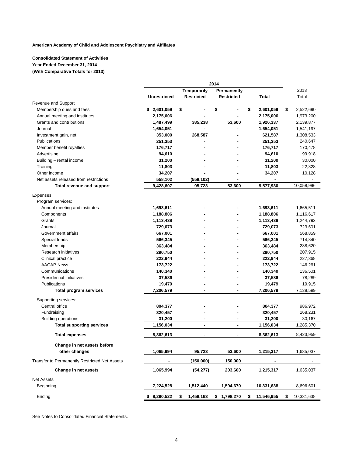#### **Consolidated Statement of Activities Year Ended December 31, 2014 (With Comparative Totals for 2013)**

|                                               |                     | <b>Temporarily</b> | Permanently       |                  | 2013             |
|-----------------------------------------------|---------------------|--------------------|-------------------|------------------|------------------|
|                                               | <b>Unrestricted</b> | <b>Restricted</b>  | <b>Restricted</b> | <b>Total</b>     | Total            |
| Revenue and Support                           |                     |                    |                   |                  |                  |
| Membership dues and fees                      | \$2,601,059         | \$                 | \$                | \$<br>2,601,059  | \$<br>2,522,690  |
| Annual meeting and institutes                 | 2,175,006           |                    |                   | 2,175,006        | 1,973,200        |
| Grants and contributions                      | 1,487,499           | 385,238            | 53,600            | 1,926,337        | 2,139,877        |
| Journal                                       | 1,654,051           |                    |                   | 1,654,051        | 1,541,197        |
| Investment gain, net                          | 353,000             | 268,587            |                   | 621,587          | 1,308,533        |
| Publications                                  | 251,353             |                    |                   | 251,353          | 240,647          |
| Member benefit royalties                      | 176,717             |                    |                   | 176,717          | 170,478          |
| Advertising                                   | 94,610              |                    |                   | 94,610           | 99,918           |
| Building - rental income                      | 31,200              |                    |                   | 31,200           | 30,000           |
| Training                                      | 11,803              |                    |                   | 11,803           | 22,328           |
| Other income                                  | 34,207              |                    |                   | 34,207           | 10,128           |
| Net assets released from restrictions         | 558,102             | (558, 102)         |                   |                  |                  |
| <b>Total revenue and support</b>              | 9,428,607           | 95,723             | 53,600            | 9,577,930        | 10,058,996       |
| Expenses                                      |                     |                    |                   |                  |                  |
| Program services:                             |                     |                    |                   |                  |                  |
| Annual meeting and institutes                 | 1,693,611           |                    |                   | 1,693,611        | 1,665,511        |
| Components                                    | 1,188,806           |                    |                   | 1,188,806        | 1,116,617        |
| Grants                                        | 1,113,438           |                    |                   | 1,113,438        | 1,244,792        |
| Journal                                       | 729,073             |                    |                   | 729,073          | 723,601          |
| Government affairs                            | 667,001             |                    |                   | 667,001          | 568,859          |
| Special funds                                 | 566,345             |                    |                   | 566,345          | 714,340          |
| Membership                                    | 363,484             |                    |                   | 363,484          | 288,620          |
| Research initiatives                          | 290,750             |                    |                   | 290,750          | 207,915          |
| Clinical practice                             | 222,944             |                    |                   | 222,944          | 227,368          |
| <b>AACAP News</b>                             | 173,722             |                    |                   | 173,722          | 146,261          |
| Communications                                | 140,340             |                    |                   | 140,340          | 136,501          |
| Presidential initiatives                      | 37,586              |                    |                   | 37,586           | 78,289           |
| Publications                                  | 19,479              | ۰                  | $\blacksquare$    | 19,479           | 19,915           |
| <b>Total program services</b>                 | 7,206,579           | ٠                  | $\blacksquare$    | 7,206,579        | 7,138,589        |
|                                               |                     |                    |                   |                  |                  |
| Supporting services:                          |                     |                    |                   |                  |                  |
| Central office                                | 804,377             |                    |                   | 804,377          | 986,972          |
| Fundraising                                   | 320,457             |                    |                   | 320,457          | 268,231          |
| <b>Building operations</b>                    | 31,200              | $\blacksquare$     |                   | 31,200           | 30,167           |
| <b>Total supporting services</b>              | 1,156,034           | $\blacksquare$     | ä,                | 1,156,034        | 1,285,370        |
| <b>Total expenses</b>                         | 8,362,613           | ٠                  |                   | 8,362,613        | 8,423,959        |
| Change in net assets before                   |                     |                    |                   |                  |                  |
| other changes                                 | 1,065,994           | 95,723             | 53,600            | 1,215,317        | 1,635,037        |
| Transfer to Permanently Restricted Net Assets |                     | (150,000)          | 150,000           |                  |                  |
| Change in net assets                          | 1,065,994           | (54, 277)          | 203,600           | 1,215,317        | 1,635,037        |
| <b>Net Assets</b>                             |                     |                    |                   |                  |                  |
| Beginning                                     | 7,224,528           | 1,512,440          | 1,594,670         | 10,331,638       | 8,696,601        |
| Ending                                        | \$8,290,522         | 1,458,163<br>\$    | \$1,798,270       | 11,546,955<br>\$ | \$<br>10,331,638 |

See Notes to Consolidated Financial Statements.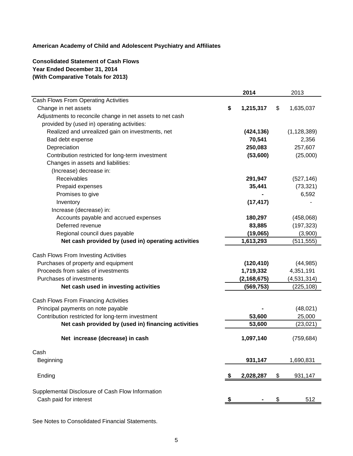# **Consolidated Statement of Cash Flows Year Ended December 31, 2014 (With Comparative Totals for 2013)**

|                                                           | 2014            |               | 2013          |
|-----------------------------------------------------------|-----------------|---------------|---------------|
| Cash Flows From Operating Activities                      |                 |               |               |
| Change in net assets                                      | \$<br>1,215,317 | \$            | 1,635,037     |
| Adjustments to reconcile change in net assets to net cash |                 |               |               |
| provided by (used in) operating activities:               |                 |               |               |
| Realized and unrealized gain on investments, net          | (424, 136)      |               | (1, 128, 389) |
| Bad debt expense                                          | 70,541          |               | 2,356         |
| Depreciation                                              | 250,083         |               | 257,607       |
| Contribution restricted for long-term investment          | (53,600)        |               | (25,000)      |
| Changes in assets and liabilities:                        |                 |               |               |
| (Increase) decrease in:                                   |                 |               |               |
| Receivables                                               | 291,947         |               | (527, 146)    |
| Prepaid expenses                                          | 35,441          |               | (73, 321)     |
| Promises to give                                          |                 |               | 6,592         |
| Inventory                                                 | (17, 417)       |               |               |
| Increase (decrease) in:                                   |                 |               |               |
| Accounts payable and accrued expenses                     | 180,297         |               | (458,068)     |
| Deferred revenue                                          | 83,885          |               | (197, 323)    |
| Regional council dues payable                             | (19,065)        |               | (3,900)       |
| Net cash provided by (used in) operating activities       | 1,613,293       |               | (511, 555)    |
|                                                           |                 |               |               |
| Cash Flows From Investing Activities                      |                 |               |               |
| Purchases of property and equipment                       | (120, 410)      |               | (44, 985)     |
| Proceeds from sales of investments                        | 1,719,332       |               | 4,351,191     |
| Purchases of investments                                  | (2, 168, 675)   |               | (4, 531, 314) |
| Net cash used in investing activities                     | (569, 753)      |               | (225, 108)    |
| Cash Flows From Financing Activities                      |                 |               |               |
| Principal payments on note payable                        |                 |               | (48, 021)     |
| Contribution restricted for long-term investment          | 53,600          |               | 25,000        |
| Net cash provided by (used in) financing activities       | 53,600          |               | (23, 021)     |
|                                                           |                 |               |               |
| Net increase (decrease) in cash                           | 1,097,140       |               | (759, 684)    |
| Cash                                                      |                 |               |               |
| Beginning                                                 | 931,147         |               | 1,690,831     |
|                                                           |                 |               |               |
| Ending                                                    | 2,028,287       | $\frac{1}{2}$ | 931,147       |
| Supplemental Disclosure of Cash Flow Information          |                 |               |               |
| Cash paid for interest                                    |                 | \$            | 512           |
|                                                           |                 |               |               |

See Notes to Consolidated Financial Statements.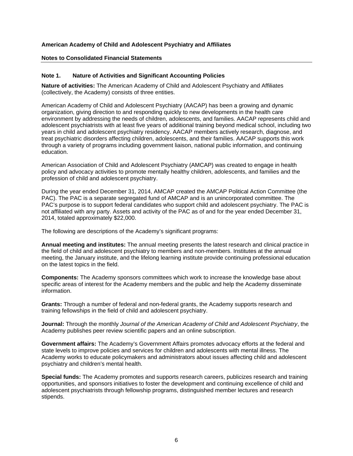#### **Notes to Consolidated Financial Statements**

# **Note 1. Nature of Activities and Significant Accounting Policies**

**Nature of activities:** The American Academy of Child and Adolescent Psychiatry and Affiliates (collectively, the Academy) consists of three entities.

American Academy of Child and Adolescent Psychiatry (AACAP) has been a growing and dynamic organization, giving direction to and responding quickly to new developments in the health care environment by addressing the needs of children, adolescents, and families. AACAP represents child and adolescent psychiatrists with at least five years of additional training beyond medical school, including two years in child and adolescent psychiatry residency. AACAP members actively research, diagnose, and treat psychiatric disorders affecting children, adolescents, and their families. AACAP supports this work through a variety of programs including government liaison, national public information, and continuing education.

American Association of Child and Adolescent Psychiatry (AMCAP) was created to engage in health policy and advocacy activities to promote mentally healthy children, adolescents, and families and the profession of child and adolescent psychiatry.

During the year ended December 31, 2014, AMCAP created the AMCAP Political Action Committee (the PAC). The PAC is a separate segregated fund of AMCAP and is an unincorporated committee. The PAC's purpose is to support federal candidates who support child and adolescent psychiatry. The PAC is not affiliated with any party. Assets and activity of the PAC as of and for the year ended December 31, 2014, totaled approximately \$22,000.

The following are descriptions of the Academy's significant programs:

**Annual meeting and institutes:** The annual meeting presents the latest research and clinical practice in the field of child and adolescent psychiatry to members and non-members. Institutes at the annual meeting, the January institute, and the lifelong learning institute provide continuing professional education on the latest topics in the field.

**Components:** The Academy sponsors committees which work to increase the knowledge base about specific areas of interest for the Academy members and the public and help the Academy disseminate information.

**Grants:** Through a number of federal and non-federal grants, the Academy supports research and training fellowships in the field of child and adolescent psychiatry.

**Journal:** Through the monthly *Journal of the American Academy of Child and Adolescent Psychiatry*, the Academy publishes peer review scientific papers and an online subscription.

**Government affairs:** The Academy's Government Affairs promotes advocacy efforts at the federal and state levels to improve policies and services for children and adolescents with mental illness. The Academy works to educate policymakers and administrators about issues affecting child and adolescent psychiatry and children's mental health.

**Special funds:** The Academy promotes and supports research careers, publicizes research and training opportunities, and sponsors initiatives to foster the development and continuing excellence of child and adolescent psychiatrists through fellowship programs, distinguished member lectures and research stipends.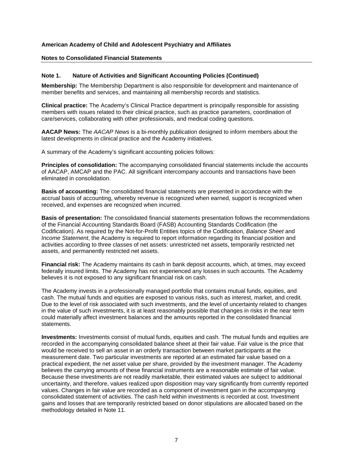#### **Notes to Consolidated Financial Statements**

## **Note 1. Nature of Activities and Significant Accounting Policies (Continued)**

**Membership:** The Membership Department is also responsible for development and maintenance of member benefits and services, and maintaining all membership records and statistics.

**Clinical practice:** The Academy's Clinical Practice department is principally responsible for assisting members with issues related to their clinical practice, such as practice parameters, coordination of care/services, collaborating with other professionals, and medical coding questions.

**AACAP News:** The *AACAP News* is a bi-monthly publication designed to inform members about the latest developments in clinical practice and the Academy initiatives.

A summary of the Academy's significant accounting policies follows:

**Principles of consolidation:** The accompanying consolidated financial statements include the accounts of AACAP, AMCAP and the PAC. All significant intercompany accounts and transactions have been eliminated in consolidation.

**Basis of accounting:** The consolidated financial statements are presented in accordance with the accrual basis of accounting, whereby revenue is recognized when earned, support is recognized when received, and expenses are recognized when incurred.

**Basis of presentation:** The consolidated financial statements presentation follows the recommendations of the Financial Accounting Standards Board (FASB) Accounting Standards Codification (the Codification). As required by the Not-for-Profit Entities topics of the Codification, *Balance Sheet* and *Income Statement*, the Academy is required to report information regarding its financial position and activities according to three classes of net assets: unrestricted net assets, temporarily restricted net assets, and permanently restricted net assets.

**Financial risk:** The Academy maintains its cash in bank deposit accounts, which, at times, may exceed federally insured limits. The Academy has not experienced any losses in such accounts. The Academy believes it is not exposed to any significant financial risk on cash.

The Academy invests in a professionally managed portfolio that contains mutual funds, equities, and cash. The mutual funds and equities are exposed to various risks, such as interest, market, and credit. Due to the level of risk associated with such investments, and the level of uncertainty related to changes in the value of such investments, it is at least reasonably possible that changes in risks in the near term could materially affect investment balances and the amounts reported in the consolidated financial statements.

**Investments:** Investments consist of mutual funds, equities and cash. The mutual funds and equities are recorded in the accompanying consolidated balance sheet at their fair value. Fair value is the price that would be received to sell an asset in an orderly transaction between market participants at the measurement date. Two particular investments are reported at an estimated fair value based on a practical expedient, the net asset value per share, provided by the investment manager. The Academy believes the carrying amounts of these financial instruments are a reasonable estimate of fair value. Because these investments are not readily marketable, their estimated values are subject to additional uncertainty, and therefore, values realized upon disposition may vary significantly from currently reported values. Changes in fair value are recorded as a component of investment gain in the accompanying consolidated statement of activities. The cash held within investments is recorded at cost. Investment gains and losses that are temporarily restricted based on donor stipulations are allocated based on the methodology detailed in Note 11.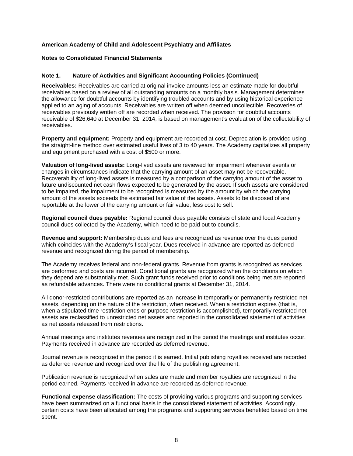#### **Notes to Consolidated Financial Statements**

## **Note 1. Nature of Activities and Significant Accounting Policies (Continued)**

**Receivables:** Receivables are carried at original invoice amounts less an estimate made for doubtful receivables based on a review of all outstanding amounts on a monthly basis. Management determines the allowance for doubtful accounts by identifying troubled accounts and by using historical experience applied to an aging of accounts. Receivables are written off when deemed uncollectible. Recoveries of receivables previously written off are recorded when received. The provision for doubtful accounts receivable of \$26,640 at December 31, 2014, is based on management's evaluation of the collectability of receivables.

**Property and equipment:** Property and equipment are recorded at cost. Depreciation is provided using the straight-line method over estimated useful lives of 3 to 40 years. The Academy capitalizes all property and equipment purchased with a cost of \$500 or more.

**Valuation of long-lived assets:** Long-lived assets are reviewed for impairment whenever events or changes in circumstances indicate that the carrying amount of an asset may not be recoverable. Recoverability of long-lived assets is measured by a comparison of the carrying amount of the asset to future undiscounted net cash flows expected to be generated by the asset. If such assets are considered to be impaired, the impairment to be recognized is measured by the amount by which the carrying amount of the assets exceeds the estimated fair value of the assets. Assets to be disposed of are reportable at the lower of the carrying amount or fair value, less cost to sell.

**Regional council dues payable:** Regional council dues payable consists of state and local Academy council dues collected by the Academy, which need to be paid out to councils.

**Revenue and support:** Membership dues and fees are recognized as revenue over the dues period which coincides with the Academy's fiscal year. Dues received in advance are reported as deferred revenue and recognized during the period of membership.

The Academy receives federal and non-federal grants. Revenue from grants is recognized as services are performed and costs are incurred. Conditional grants are recognized when the conditions on which they depend are substantially met. Such grant funds received prior to conditions being met are reported as refundable advances. There were no conditional grants at December 31, 2014.

All donor-restricted contributions are reported as an increase in temporarily or permanently restricted net assets, depending on the nature of the restriction, when received. When a restriction expires (that is, when a stipulated time restriction ends or purpose restriction is accomplished), temporarily restricted net assets are reclassified to unrestricted net assets and reported in the consolidated statement of activities as net assets released from restrictions.

Annual meetings and institutes revenues are recognized in the period the meetings and institutes occur. Payments received in advance are recorded as deferred revenue.

Journal revenue is recognized in the period it is earned. Initial publishing royalties received are recorded as deferred revenue and recognized over the life of the publishing agreement.

Publication revenue is recognized when sales are made and member royalties are recognized in the period earned. Payments received in advance are recorded as deferred revenue.

**Functional expense classification:** The costs of providing various programs and supporting services have been summarized on a functional basis in the consolidated statement of activities. Accordingly, certain costs have been allocated among the programs and supporting services benefited based on time spent.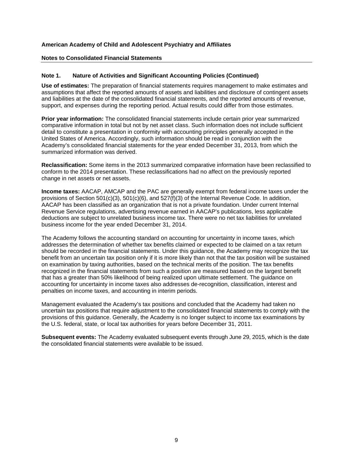#### **Notes to Consolidated Financial Statements**

## **Note 1. Nature of Activities and Significant Accounting Policies (Continued)**

**Use of estimates:** The preparation of financial statements requires management to make estimates and assumptions that affect the reported amounts of assets and liabilities and disclosure of contingent assets and liabilities at the date of the consolidated financial statements, and the reported amounts of revenue, support, and expenses during the reporting period. Actual results could differ from those estimates.

**Prior year information:** The consolidated financial statements include certain prior year summarized comparative information in total but not by net asset class. Such information does not include sufficient detail to constitute a presentation in conformity with accounting principles generally accepted in the United States of America. Accordingly, such information should be read in conjunction with the Academy's consolidated financial statements for the year ended December 31, 2013, from which the summarized information was derived.

**Reclassification:** Some items in the 2013 summarized comparative information have been reclassified to conform to the 2014 presentation. These reclassifications had no affect on the previously reported change in net assets or net assets.

**Income taxes:** AACAP, AMCAP and the PAC are generally exempt from federal income taxes under the provisions of Section 501(c)(3), 501(c)(6), and 527(f)(3) of the Internal Revenue Code. In addition, AACAP has been classified as an organization that is not a private foundation. Under current Internal Revenue Service regulations, advertising revenue earned in AACAP's publications, less applicable deductions are subject to unrelated business income tax. There were no net tax liabilities for unrelated business income for the year ended December 31, 2014.

The Academy follows the accounting standard on accounting for uncertainty in income taxes, which addresses the determination of whether tax benefits claimed or expected to be claimed on a tax return should be recorded in the financial statements. Under this guidance, the Academy may recognize the tax benefit from an uncertain tax position only if it is more likely than not that the tax position will be sustained on examination by taxing authorities, based on the technical merits of the position. The tax benefits recognized in the financial statements from such a position are measured based on the largest benefit that has a greater than 50% likelihood of being realized upon ultimate settlement. The guidance on accounting for uncertainty in income taxes also addresses de-recognition, classification, interest and penalties on income taxes, and accounting in interim periods.

Management evaluated the Academy's tax positions and concluded that the Academy had taken no uncertain tax positions that require adjustment to the consolidated financial statements to comply with the provisions of this guidance. Generally, the Academy is no longer subject to income tax examinations by the U.S. federal, state, or local tax authorities for years before December 31, 2011.

**Subsequent events:** The Academy evaluated subsequent events through June 29, 2015, which is the date the consolidated financial statements were available to be issued.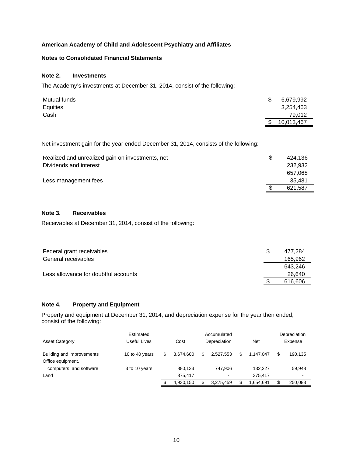#### **Notes to Consolidated Financial Statements**

## **Note 2. Investments**

The Academy's investments at December 31, 2014, consist of the following:

| Mutual funds | - \$ | 6,679,992  |
|--------------|------|------------|
| Equities     |      | 3,254,463  |
| Cash         |      | 79,012     |
|              | S.   | 10,013,467 |

Net investment gain for the year ended December 31, 2014, consists of the following:

| Realized and unrealized gain on investments, net | 424.136 |
|--------------------------------------------------|---------|
| Dividends and interest                           | 232.932 |
|                                                  | 657.068 |
| Less management fees                             | 35.481  |
|                                                  | 621.587 |

# **Note 3. Receivables**

Receivables at December 31, 2014, consist of the following:

| Federal grant receivables            | \$<br>477.284 |
|--------------------------------------|---------------|
| General receivables                  | 165,962       |
|                                      | 643.246       |
| Less allowance for doubtful accounts | 26.640        |
|                                      | 616,606       |

#### **Note 4. Property and Equipment**

Property and equipment at December 31, 2014, and depreciation expense for the year then ended, consist of the following:

|                                                | Estimated      | Accumulated          |    |                          |     |           | Depreciation             |
|------------------------------------------------|----------------|----------------------|----|--------------------------|-----|-----------|--------------------------|
| <b>Asset Category</b>                          | Useful Lives   | Depreciation<br>Cost |    |                          | Net | Expense   |                          |
| Building and improvements<br>Office equipment, | 10 to 40 years | \$<br>3.674.600      | \$ | 2.527.553                |     | 1.147.047 | 190.135                  |
| computers, and software                        | 3 to 10 years  | 880.133              |    | 747.906                  |     | 132.227   | 59,948                   |
| Land                                           |                | 375.417              |    | $\overline{\phantom{a}}$ |     | 375.417   | $\overline{\phantom{a}}$ |
|                                                |                | \$<br>4,930,150      | \$ | 3,275,459                |     | .654.691  | 250,083                  |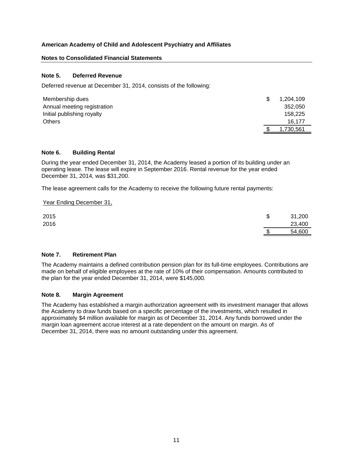# **Notes to Consolidated Financial Statements**

# **Note 5. Deferred Revenue**

Deferred revenue at December 31, 2014, consists of the following:

| Membership dues             | 1.204.109 |
|-----------------------------|-----------|
| Annual meeting registration | 352,050   |
| Initial publishing royalty  | 158,225   |
| <b>Others</b>               | 16,177    |
|                             | 1,730,561 |

# **Note 6. Building Rental**

During the year ended December 31, 2014, the Academy leased a portion of its building under an operating lease. The lease will expire in September 2016. Rental revenue for the year ended December 31, 2014, was \$31,200.

The lease agreement calls for the Academy to receive the following future rental payments:

#### Year Ending December 31,

| 2015 | S. | 31,200 |
|------|----|--------|
| 2016 |    | 23,400 |
|      | S  | 54,600 |

# **Note 7. Retirement Plan**

The Academy maintains a defined contribution pension plan for its full-time employees. Contributions are made on behalf of eligible employees at the rate of 10% of their compensation. Amounts contributed to the plan for the year ended December 31, 2014, were \$145,000.

#### **Note 8. Margin Agreement**

The Academy has established a margin authorization agreement with its investment manager that allows the Academy to draw funds based on a specific percentage of the investments, which resulted in approximately \$4 million available for margin as of December 31, 2014. Any funds borrowed under the margin loan agreement accrue interest at a rate dependent on the amount on margin. As of December 31, 2014, there was no amount outstanding under this agreement.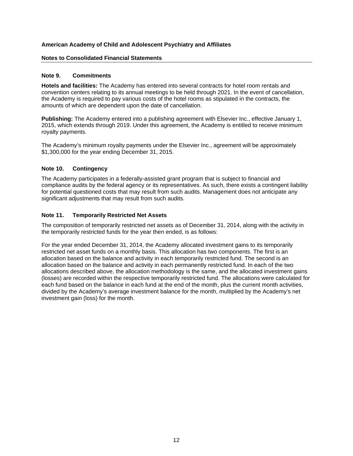# **Notes to Consolidated Financial Statements**

# **Note 9. Commitments**

**Hotels and facilities:** The Academy has entered into several contracts for hotel room rentals and convention centers relating to its annual meetings to be held through 2021. In the event of cancellation, the Academy is required to pay various costs of the hotel rooms as stipulated in the contracts, the amounts of which are dependent upon the date of cancellation.

**Publishing:** The Academy entered into a publishing agreement with Elsevier Inc., effective January 1, 2015, which extends through 2019. Under this agreement, the Academy is entitled to receive minimum royalty payments.

The Academy's minimum royalty payments under the Elsevier Inc., agreement will be approximately \$1,300,000 for the year ending December 31, 2015.

# **Note 10. Contingency**

The Academy participates in a federally-assisted grant program that is subject to financial and compliance audits by the federal agency or its representatives. As such, there exists a contingent liability for potential questioned costs that may result from such audits. Management does not anticipate any significant adjustments that may result from such audits.

# **Note 11. Temporarily Restricted Net Assets**

The composition of temporarily restricted net assets as of December 31, 2014, along with the activity in the temporarily restricted funds for the year then ended, is as follows:

For the year ended December 31, 2014, the Academy allocated investment gains to its temporarily restricted net asset funds on a monthly basis. This allocation has two components. The first is an allocation based on the balance and activity in each temporarily restricted fund. The second is an allocation based on the balance and activity in each permanently restricted fund. In each of the two allocations described above, the allocation methodology is the same, and the allocated investment gains (losses) are recorded within the respective temporarily restricted fund. The allocations were calculated for each fund based on the balance in each fund at the end of the month, plus the current month activities, divided by the Academy's average investment balance for the month, multiplied by the Academy's net investment gain (loss) for the month.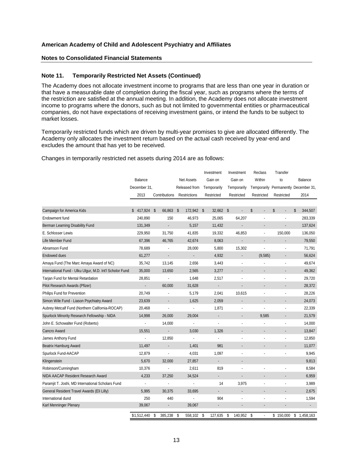#### **Notes to Consolidated Financial Statements**

#### **Note 11. Temporarily Restricted Net Assets (Continued)**

The Academy does not allocate investment income to programs that are less than one year in duration or that have a measurable date of completion during the fiscal year, such as programs where the terms of the restriction are satisfied at the annual meeting. In addition, the Academy does not allocate investment income to programs where the donors, such as but not limited to governmental entities or pharmaceutical companies, do not have expectations of receiving investment gains, or intend the funds to be subject to market losses.

Temporarily restricted funds which are driven by multi-year promises to give are allocated differently. The Academy only allocates the investment return based on the actual cash received by year-end and excludes the amount that has yet to be received.

Changes in temporarily restricted net assets during 2014 are as follows:

|                                                          |              |                          |                                         | Investment               | Investment               | Reclass                  | Transfer                 |                                      |
|----------------------------------------------------------|--------------|--------------------------|-----------------------------------------|--------------------------|--------------------------|--------------------------|--------------------------|--------------------------------------|
|                                                          | Balance      |                          | <b>Net Assets</b>                       | Gain on                  | Gain on                  | Within                   | to                       | Balance                              |
|                                                          | December 31, |                          | Released from                           | Temporarily              | Temporarily              |                          |                          | Temporarily Permanently December 31, |
|                                                          | 2013         | Contributions            | Restrictions                            | Restricted               | Restricted               | Restricted               | Restricted               | 2014                                 |
|                                                          |              |                          |                                         |                          |                          |                          |                          |                                      |
| Campaign for America Kids                                | 417,924 \$   | 66,863                   | $\boldsymbol{\mathsf{S}}$<br>172,942 \$ | 32,662 \$                |                          | \$                       | \$                       | \$<br>344,507                        |
| Endowment fund                                           | 240,890      | 150                      | 46,973                                  | 25,065                   | 64,207                   | ÷,                       | $\overline{\phantom{a}}$ | 283,339                              |
| Berman Learning Disability Fund                          | 131,349      | $\overline{a}$           | 5,157                                   | 11,432                   | $\overline{a}$           |                          |                          | 137,624                              |
| E. Schlosser Lewis                                       | 229,950      | 31,750                   | 41,835                                  | 19,332                   | 46,853                   | ÷,                       | 150,000                  | 136,050                              |
| Life Member Fund                                         | 67,396       | 46,765                   | 42,674                                  | 8,063                    |                          |                          |                          | 79,550                               |
| Abramson Fund                                            | 78,689       | $\overline{\phantom{a}}$ | 28,000                                  | 5,800                    | 15,302                   | ÷,                       | $\overline{\phantom{a}}$ | 71,791                               |
| <b>Endowed dues</b>                                      | 61,277       | $\overline{a}$           | $\overline{\phantom{0}}$                | 4,932                    | $\overline{\phantom{a}}$ | (9, 585)                 | $\overline{\phantom{a}}$ | 56,624                               |
| Amaya Fund (The Marc Amaya Award of NC)                  | 35,742       | 13,145                   | 2,656                                   | 3,443                    | $\blacksquare$           |                          |                          | 49,674                               |
| International Fund - Ulku Ulgur, M.D. Int'l Scholor Fund | 35,000       | 13,650                   | 2,565                                   | 3,277                    | $\overline{\phantom{a}}$ | $\overline{\phantom{a}}$ | $\overline{\phantom{a}}$ | 49,362                               |
| Tarian Fund for Mental Retardation                       | 28,851       | $\overline{\phantom{a}}$ | 1,648                                   | 2,517                    | $\blacksquare$           | $\overline{a}$           | $\overline{\phantom{a}}$ | 29,720                               |
| Pilot Research Awards (Pfizer)                           | ÷.           | 60,000                   | 31,628                                  | $\blacksquare$           | $\overline{a}$           |                          | $\overline{a}$           | 28,372                               |
| Philips Fund for Prevention                              | 20,749       |                          | 5,179                                   | 2,041                    | 10,615                   |                          |                          | 28,226                               |
| Simon Wile Fund - Liason Psychiatry Award                | 23,639       | $\overline{\phantom{a}}$ | 1,625                                   | 2,059                    |                          |                          | $\overline{a}$           | 24,073                               |
| Aubrey Metcalf Fund (Northern California-ROCAP)          | 20,468       |                          | $\overline{\phantom{a}}$                | 1,871                    |                          |                          |                          | 22,339                               |
| Spurlock Minority Research Fellowship - NIDA             | 14,998       | 26,000                   | 29,004                                  | $\overline{a}$           | $\overline{\phantom{a}}$ | 9,585                    | $\overline{\phantom{a}}$ | 21,579                               |
| John E. Schowalter Fund (Roberto)                        |              | 14,000                   |                                         | $\overline{\phantom{a}}$ |                          |                          |                          | 14,000                               |
| Cancro Award                                             | 15,551       | ٠                        | 3,030                                   | 1,326                    | $\overline{\phantom{a}}$ | $\overline{a}$           | $\overline{\phantom{a}}$ | 13,847                               |
| James Anthony Fund                                       | ÷,           | 12,850                   | $\overline{a}$                          | $\overline{a}$           |                          |                          | ÷                        | 12,850                               |
| Beatrix Hamburg Award                                    | 11,497       | $\overline{a}$           | 1,401                                   | 981                      |                          |                          |                          | 11,077                               |
| Spurlock Fund-AACAP                                      | 12,879       |                          | 4,031                                   | 1,097                    | $\overline{a}$           |                          |                          | 9,945                                |
| Klingenstein                                             | 5,670        | 32,000                   | 27,857                                  | $\overline{\phantom{0}}$ | $\overline{\phantom{a}}$ |                          |                          | 9,813                                |
| Robinson/Cunningham                                      | 10,376       | $\overline{\phantom{a}}$ | 2,611                                   | 819                      |                          |                          |                          | 8,584                                |
| NIDA AACAP Resident Research Award                       | 4,233        | 37,250                   | 34,524                                  | $\overline{\phantom{0}}$ | $\overline{a}$           |                          |                          | 6,959                                |
| Paramjit T. Joshi, MD International Scholars Fund        |              |                          | $\overline{\phantom{a}}$                | 14                       | 3,975                    |                          |                          | 3,989                                |
| General Resident Travel Awards (Eli Lilly)               | 5,995        | 30,375                   | 33,695                                  | $\overline{\phantom{0}}$ | $\overline{a}$           |                          |                          | 2,675                                |
| International dund                                       | 250          | 440                      |                                         | 904                      | $\overline{\phantom{a}}$ |                          |                          | 1,594                                |
| Karl Menninger Plenary                                   | 39,067       | $\overline{\phantom{0}}$ | 39,067                                  | $\overline{\phantom{0}}$ | $\overline{\phantom{a}}$ | $\overline{a}$           | ÷,                       | $\blacksquare$                       |
|                                                          | \$1,512,440  | \$<br>385,238            | \$<br>558,102 \$                        | 127,635                  | \$<br>140,952            | - \$<br>÷,               | \$150,000                | \$1,458,163                          |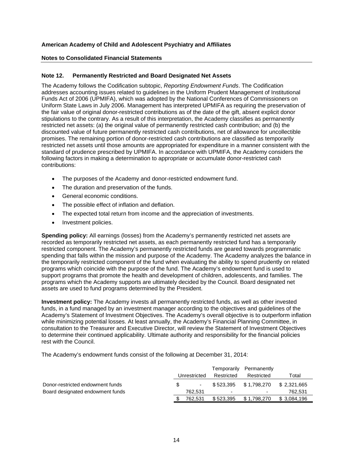#### **Notes to Consolidated Financial Statements**

# **Note 12. Permanently Restricted and Board Designated Net Assets**

The Academy follows the Codification subtopic, *Reporting Endowment Funds*. The Codification addresses accounting issues related to guidelines in the Uniform Prudent Management of Institutional Funds Act of 2006 (UPMIFA), which was adopted by the National Conferences of Commissioners on Uniform State Laws in July 2006. Management has interpreted UPMIFA as requiring the preservation of the fair value of original donor-restricted contributions as of the date of the gift, absent explicit donor stipulations to the contrary. As a result of this interpretation, the Academy classifies as permanently restricted net assets: (a) the original value of permanently restricted cash contribution; and (b) the discounted value of future permanently restricted cash contributions, net of allowance for uncollectible promises. The remaining portion of donor-restricted cash contributions are classified as temporarily restricted net assets until those amounts are appropriated for expenditure in a manner consistent with the standard of prudence prescribed by UPMIFA. In accordance with UPMIFA, the Academy considers the following factors in making a determination to appropriate or accumulate donor-restricted cash contributions:

- The purposes of the Academy and donor-restricted endowment fund.
- The duration and preservation of the funds.
- General economic conditions.
- The possible effect of inflation and deflation.
- The expected total return from income and the appreciation of investments.
- Investment policies.

**Spending policy:** All earnings (losses) from the Academy's permanently restricted net assets are recorded as temporarily restricted net assets, as each permanently restricted fund has a temporarily restricted component. The Academy's permanently restricted funds are geared towards programmatic spending that falls within the mission and purpose of the Academy. The Academy analyzes the balance in the temporarily restricted component of the fund when evaluating the ability to spend prudently on related programs which coincide with the purpose of the fund. The Academy's endowment fund is used to support programs that promote the health and development of children, adolescents, and families. The programs which the Academy supports are ultimately decided by the Council. Board designated net assets are used to fund programs determined by the President.

**Investment policy:** The Academy invests all permanently restricted funds, as well as other invested funds, in a fund managed by an investment manager according to the objectives and guidelines of the Academy's Statement of Investment Objectives. The Academy's overall objective is to outperform inflation while minimizing potential losses. At least annually, the Academy's Financial Planning Committee, in consultation to the Treasurer and Executive Director, will review the Statement of Investment Objectives to determine their continued applicability. Ultimate authority and responsibility for the financial policies rest with the Council.

The Academy's endowment funds consist of the following at December 31, 2014:

|                                  |              | Temporarily | Permanently  |              |
|----------------------------------|--------------|-------------|--------------|--------------|
|                                  | Unrestricted | Restricted  | Restricted   | Total        |
| Donor-restricted endowment funds | ٠            | \$523.395   | \$ 1,798,270 | \$2,321,665  |
| Board designated endowment funds | 762.531      | -           | $\sim$       | 762.531      |
|                                  | 762.531      | \$523.395   | \$1.798.270  | \$ 3,084,196 |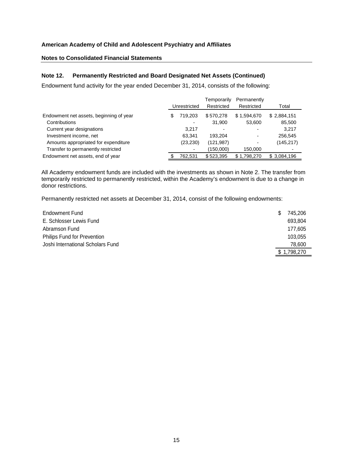#### **Notes to Consolidated Financial Statements**

# **Note 12. Permanently Restricted and Board Designated Net Assets (Continued)**

Endowment fund activity for the year ended December 31, 2014, consists of the following:

|                                         |   |              | Temporarily              | Permanently              |             |
|-----------------------------------------|---|--------------|--------------------------|--------------------------|-------------|
|                                         |   | Unrestricted | Restricted               | Restricted               | Total       |
| Endowment net assets, beginning of year | S | 719.203      | \$570,278                | \$1,594,670              | \$2,884,151 |
| Contributions                           |   |              | 31.900                   | 53,600                   | 85,500      |
| Current year designations               |   | 3.217        | $\overline{\phantom{a}}$ | ۰                        | 3.217       |
| Investment income, net                  |   | 63.341       | 193.204                  | $\overline{\phantom{a}}$ | 256,545     |
| Amounts appropriated for expenditure    |   | (23, 230)    | (121, 987)               | ٠                        | (145, 217)  |
| Transfer to permanently restricted      |   |              | (150,000)                | 150,000                  |             |
| Endowment net assets, end of year       |   | 762,531      | \$523,395                | \$1,798,270              | \$3,084,196 |

All Academy endowment funds are included with the investments as shown in Note 2. The transfer from temporarily restricted to permanently restricted, within the Academy's endowment is due to a change in donor restrictions.

Permanently restricted net assets at December 31, 2014, consist of the following endowments:

| <b>Endowment Fund</b>              | 745.206   |
|------------------------------------|-----------|
| E. Schlosser Lewis Fund            | 693,804   |
| Abramson Fund                      | 177,605   |
| <b>Philips Fund for Prevention</b> | 103,055   |
| Joshi International Scholars Fund  | 78,600    |
|                                    | 1,798,270 |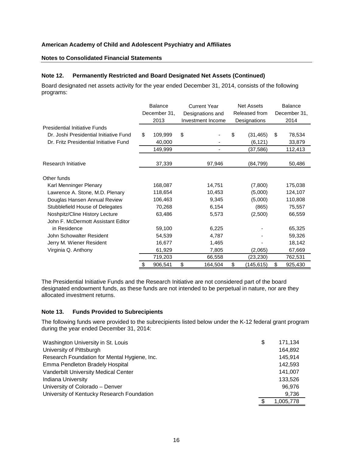# **Notes to Consolidated Financial Statements**

# **Note 12. Permanently Restricted and Board Designated Net Assets (Continued)**

Board designated net assets activity for the year ended December 31, 2014, consists of the following programs:

|                                        | <b>Balance</b> |    | <b>Current Year</b>                                                    |    | <b>Net Assets</b> |              | <b>Balance</b> |  |  |
|----------------------------------------|----------------|----|------------------------------------------------------------------------|----|-------------------|--------------|----------------|--|--|
|                                        | December 31,   |    | Released from<br>Designations and<br>Investment Income<br>Designations |    |                   | December 31, |                |  |  |
|                                        | 2013           |    |                                                                        |    | 2014              |              |                |  |  |
| <b>Presidential Initiative Funds</b>   |                |    |                                                                        |    |                   |              |                |  |  |
| Dr. Joshi Presidential Initiative Fund | \$<br>109,999  | \$ |                                                                        | S  | (31, 465)         | \$.          | 78,534         |  |  |
| Dr. Fritz Presidential Initiative Fund | 40,000         |    |                                                                        |    | (6, 121)          |              | 33,879         |  |  |
|                                        | 149,999        |    |                                                                        |    | (37, 586)         |              | 112,413        |  |  |
| Research Initiative                    | 37,339         |    | 97,946                                                                 |    | (84, 799)         |              | 50,486         |  |  |
|                                        |                |    |                                                                        |    |                   |              |                |  |  |
| Other funds                            |                |    |                                                                        |    |                   |              |                |  |  |
| Karl Menninger Plenary                 | 168,087        |    | 14,751                                                                 |    | (7,800)           |              | 175,038        |  |  |
| Lawrence A. Stone, M.D. Plenary        | 118,654        |    | 10,453                                                                 |    | (5,000)           |              | 124,107        |  |  |
| Douglas Hansen Annual Review           | 106,463        |    | 9,345                                                                  |    | (5,000)           |              | 110,808        |  |  |
| Stubblefield House of Delegates        | 70,268         |    | 6,154                                                                  |    | (865)             |              | 75,557         |  |  |
| Noshpitz/Cline History Lecture         | 63,486         |    | 5,573                                                                  |    | (2,500)           |              | 66,559         |  |  |
| John F. McDermott Assistant Editor     |                |    |                                                                        |    |                   |              |                |  |  |
| in Residence                           | 59,100         |    | 6,225                                                                  |    |                   |              | 65,325         |  |  |
| John Schowalter Resident               | 54,539         |    | 4,787                                                                  |    |                   |              | 59,326         |  |  |
| Jerry M. Wiener Resident               | 16,677         |    | 1,465                                                                  |    |                   |              | 18,142         |  |  |
| Virginia Q. Anthony                    | 61,929         |    | 7,805                                                                  |    | (2,065)           |              | 67,669         |  |  |
|                                        | 719,203        |    | 66,558                                                                 |    | (23, 230)         |              | 762,531        |  |  |
|                                        | \$<br>906,541  | \$ | 164,504                                                                | \$ | (145, 615)        | \$           | 925,430        |  |  |

The Presidential Initiative Funds and the Research Initiative are not considered part of the board designated endowment funds, as these funds are not intended to be perpetual in nature, nor are they allocated investment returns.

# **Note 13. Funds Provided to Subrecipients**

The following funds were provided to the subrecipients listed below under the K-12 federal grant program during the year ended December 31, 2014:

| Washington University in St. Louis           | S | 171,134   |
|----------------------------------------------|---|-----------|
| University of Pittsburgh                     |   | 164,892   |
| Research Foundation for Mental Hygiene, Inc. |   | 145.914   |
| Emma Pendleton Bradely Hospital              |   | 142,593   |
| Vanderbilt University Medical Center         |   | 141,007   |
| Indiana University                           |   | 133,526   |
| University of Colorado - Denver              |   | 96.976    |
| University of Kentucky Research Foundation   |   | 9,736     |
|                                              |   | 1,005,778 |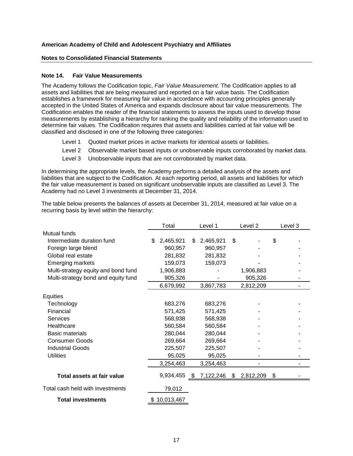#### **Notes to Consolidated Financial Statements**

#### **Note 14. Fair Value Measurements**

The Academy follows the Codification topic, *Fair Value Measurement*. The Codification applies to all assets and liabilities that are being measured and reported on a fair value basis. The Codification establishes a framework for measuring fair value in accordance with accounting principles generally accepted in the United States of America and expands disclosure about fair value measurements. The Codification enables the reader of the financial statements to assess the inputs used to develop those measurements by establishing a hierarchy for ranking the quality and reliability of the information used to determine fair values. The Codification requires that assets and liabilities carried at fair value will be classified and disclosed in one of the following three categories:

- Level 1 Quoted market prices in active markets for identical assets or liabilities.
- Level 2 Observable market based inputs or unobservable inputs corroborated by market data.
- Level 3 Unobservable inputs that are not corroborated by market data.

In determining the appropriate levels, the Academy performs a detailed analysis of the assets and liabilities that are subject to the Codification. At each reporting period, all assets and liabilities for which the fair value measurement is based on significant unobservable inputs are classified as Level 3. The Academy had no Level 3 investments at December 31, 2014.

The table below presents the balances of assets at December 31, 2014, measured at fair value on a recurring basis by level within the hierarchy:

|                                     | Total<br>Level 1 |            |    | Level <sub>2</sub> |                                            | Level 3 |  |
|-------------------------------------|------------------|------------|----|--------------------|--------------------------------------------|---------|--|
| Mutual funds                        |                  |            |    |                    |                                            |         |  |
| Intermediate duration fund          | \$               | 2,465,921  | \$ | 2,465,921          | \$                                         | \$      |  |
| Foreign large blend                 |                  | 960,957    |    | 960,957            |                                            |         |  |
| Global real estate                  |                  | 281,832    |    | 281,832            |                                            |         |  |
| <b>Emerging markets</b>             |                  | 159,073    |    | 159,073            |                                            |         |  |
| Multi-strategy equity and bond fund |                  | 1,906,883  |    |                    | 1,906,883                                  |         |  |
| Multi-strategy bond and equity fund |                  | 905,326    |    |                    | 905,326                                    |         |  |
|                                     |                  | 6,679,992  |    | 3,867,783          | 2,812,209                                  |         |  |
| Equities                            |                  |            |    |                    |                                            |         |  |
| Technology                          |                  | 683,276    |    | 683,276            |                                            |         |  |
| Financial                           |                  | 571,425    |    | 571,425            |                                            |         |  |
| <b>Services</b>                     |                  | 568,938    |    | 568,938            |                                            |         |  |
| Healthcare                          |                  | 560,584    |    | 560,584            |                                            |         |  |
| <b>Basic materials</b>              |                  | 280,044    |    | 280,044            |                                            |         |  |
| <b>Consumer Goods</b>               |                  | 269,664    |    | 269,664            |                                            |         |  |
| <b>Industrial Goods</b>             |                  | 225,507    |    | 225,507            |                                            |         |  |
| <b>Utilities</b>                    |                  | 95,025     |    | 95,025             |                                            |         |  |
|                                     |                  | 3,254,463  |    | 3,254,463          |                                            |         |  |
| Total assets at fair value          |                  | 9,934,455  |    |                    | $\frac{\$}{2}$ 7,122,246 $\$$ 2,812,209 \$ |         |  |
| Total cash held with investments    |                  | 79,012     |    |                    |                                            |         |  |
| <b>Total investments</b>            | S.               | 10,013,467 |    |                    |                                            |         |  |